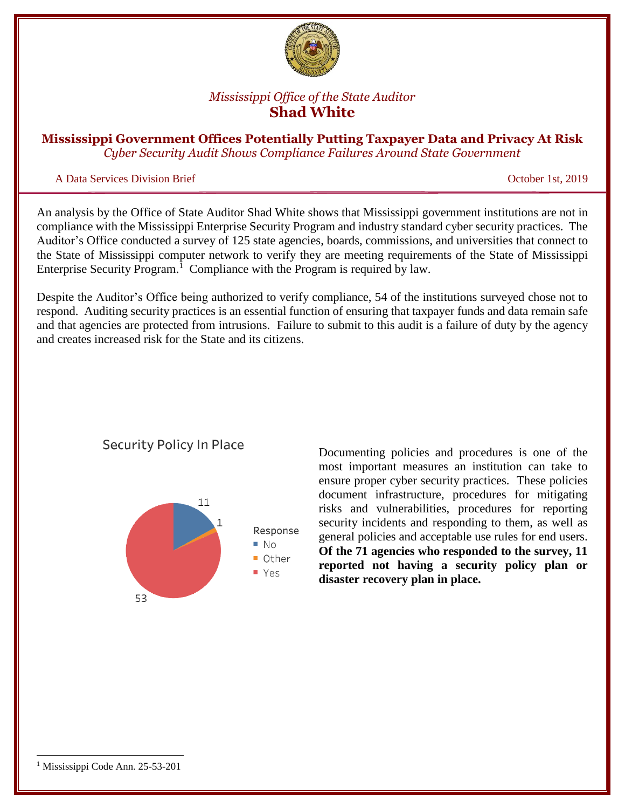

# *Mississippi Office of the State Auditor* **Shad White**

**Mississippi Government Offices Potentially Putting Taxpayer Data and Privacy At Risk** *Cyber Security Audit Shows Compliance Failures Around State Government*

## A Data Services Division Brief October 1st, 2019

An analysis by the Office of State Auditor Shad White shows that Mississippi government institutions are not in compliance with the Mississippi Enterprise Security Program and industry standard cyber security practices. The Auditor's Office conducted a survey of 125 state agencies, boards, commissions, and universities that connect to the State of Mississippi computer network to verify they are meeting requirements of the State of Mississippi Enterprise Security Program.<sup>1</sup> Compliance with the Program is required by law.

Despite the Auditor's Office being authorized to verify compliance, 54 of the institutions surveyed chose not to respond. Auditing security practices is an essential function of ensuring that taxpayer funds and data remain safe and that agencies are protected from intrusions. Failure to submit to this audit is a failure of duty by the agency and creates increased risk for the State and its citizens.



**Security Policy In Place** 

Documenting policies and procedures is one of the most important measures an institution can take to ensure proper cyber security practices. These policies document infrastructure, procedures for mitigating risks and vulnerabilities, procedures for reporting security incidents and responding to them, as well as general policies and acceptable use rules for end users. **Of the 71 agencies who responded to the survey, 11 reported not having a security policy plan or disaster recovery plan in place.**

 $\overline{\phantom{a}}$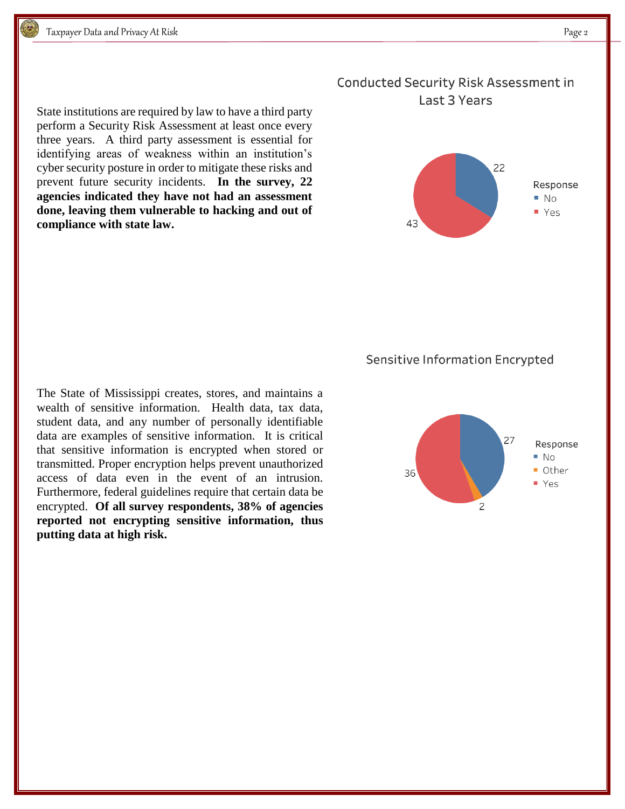State institutions are required by law to have a third party perform a Security Risk Assessment at least once every three years. A third party assessment is essential for identifying areas of weakness within an institution's cyber security posture in order to mitigate these risks and prevent future security incidents. **In the survey, 22 agencies indicated they have not had an assessment done, leaving them vulnerable to hacking and out of compliance with state law.**

## **Conducted Security Risk Assessment in** Last 3 Years



#### Sensitive Information Encrypted

The State of Mississippi creates, stores, and maintains a wealth of sensitive information. Health data, tax data, student data, and any number of personally identifiable data are examples of sensitive information. It is critical that sensitive information is encrypted when stored or transmitted. Proper encryption helps prevent unauthorized access of data even in the event of an intrusion. Furthermore, federal guidelines require that certain data be encrypted. **Of all survey respondents, 38% of agencies reported not encrypting sensitive information, thus putting data at high risk.**